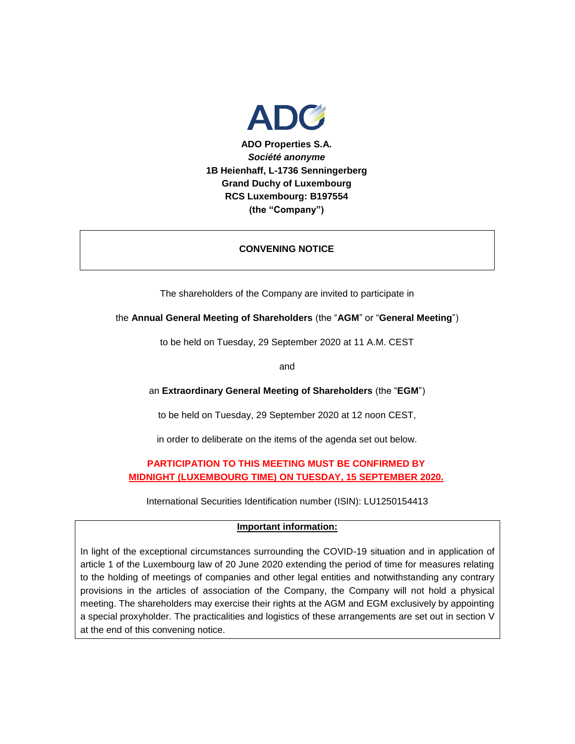

## **CONVENING NOTICE**

The shareholders of the Company are invited to participate in

the **Annual General Meeting of Shareholders** (the "**AGM**" or "**General Meeting**")

to be held on Tuesday, 29 September 2020 at 11 A.M. CEST

and

an **Extraordinary General Meeting of Shareholders** (the "**EGM**")

to be held on Tuesday, 29 September 2020 at 12 noon CEST,

in order to deliberate on the items of the agenda set out below.

## **PARTICIPATION TO THIS MEETING MUST BE CONFIRMED BY MIDNIGHT (LUXEMBOURG TIME) ON TUESDAY, 15 SEPTEMBER 2020.**

International Securities Identification number (ISIN): LU1250154413

## **Important information:**

In light of the exceptional circumstances surrounding the COVID-19 situation and in application of article 1 of the Luxembourg law of 20 June 2020 extending the period of time for measures relating to the holding of meetings of companies and other legal entities and notwithstanding any contrary provisions in the articles of association of the Company, the Company will not hold a physical meeting. The shareholders may exercise their rights at the AGM and EGM exclusively by appointing a special proxyholder. The practicalities and logistics of these arrangements are set out in section V at the end of this convening notice.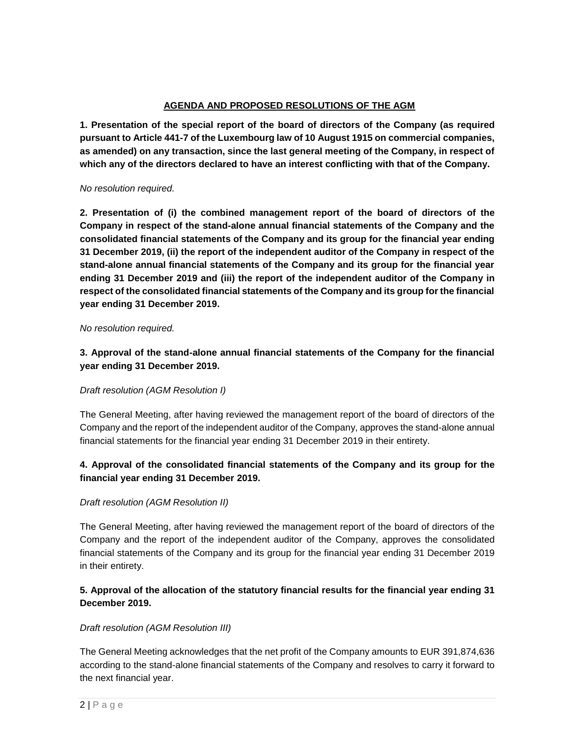## **AGENDA AND PROPOSED RESOLUTIONS OF THE AGM**

**1. Presentation of the special report of the board of directors of the Company (as required pursuant to Article 441-7 of the Luxembourg law of 10 August 1915 on commercial companies, as amended) on any transaction, since the last general meeting of the Company, in respect of which any of the directors declared to have an interest conflicting with that of the Company.**

#### *No resolution required.*

**2. Presentation of (i) the combined management report of the board of directors of the Company in respect of the stand-alone annual financial statements of the Company and the consolidated financial statements of the Company and its group for the financial year ending 31 December 2019, (ii) the report of the independent auditor of the Company in respect of the stand-alone annual financial statements of the Company and its group for the financial year ending 31 December 2019 and (iii) the report of the independent auditor of the Company in respect of the consolidated financial statements of the Company and its group for the financial year ending 31 December 2019.**

#### *No resolution required.*

**3. Approval of the stand-alone annual financial statements of the Company for the financial year ending 31 December 2019.** 

## *Draft resolution (AGM Resolution I)*

The General Meeting, after having reviewed the management report of the board of directors of the Company and the report of the independent auditor of the Company, approves the stand-alone annual financial statements for the financial year ending 31 December 2019 in their entirety.

# **4. Approval of the consolidated financial statements of the Company and its group for the financial year ending 31 December 2019.**

## *Draft resolution (AGM Resolution II)*

The General Meeting, after having reviewed the management report of the board of directors of the Company and the report of the independent auditor of the Company, approves the consolidated financial statements of the Company and its group for the financial year ending 31 December 2019 in their entirety.

# **5. Approval of the allocation of the statutory financial results for the financial year ending 31 December 2019.**

## *Draft resolution (AGM Resolution III)*

The General Meeting acknowledges that the net profit of the Company amounts to EUR 391,874,636 according to the stand-alone financial statements of the Company and resolves to carry it forward to the next financial year.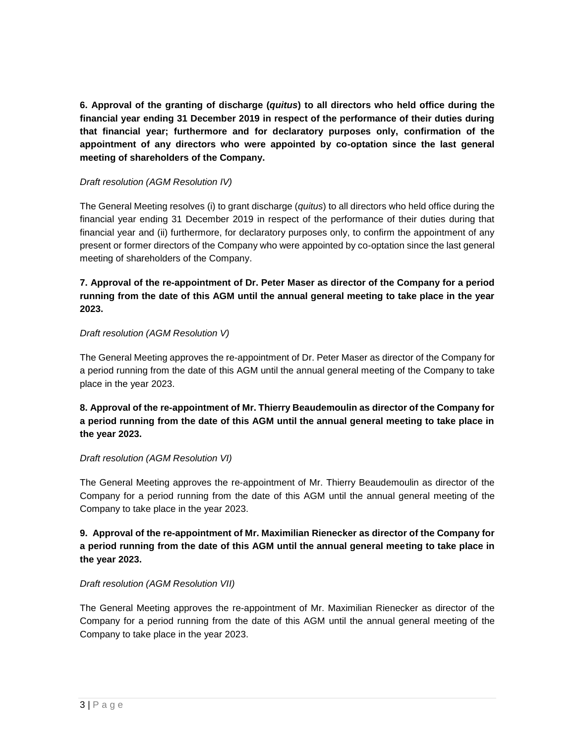**6. Approval of the granting of discharge (***quitus***) to all directors who held office during the financial year ending 31 December 2019 in respect of the performance of their duties during that financial year; furthermore and for declaratory purposes only, confirmation of the appointment of any directors who were appointed by co-optation since the last general meeting of shareholders of the Company.**

## *Draft resolution (AGM Resolution IV)*

The General Meeting resolves (i) to grant discharge (*quitus*) to all directors who held office during the financial year ending 31 December 2019 in respect of the performance of their duties during that financial year and (ii) furthermore, for declaratory purposes only, to confirm the appointment of any present or former directors of the Company who were appointed by co-optation since the last general meeting of shareholders of the Company.

# **7. Approval of the re-appointment of Dr. Peter Maser as director of the Company for a period running from the date of this AGM until the annual general meeting to take place in the year 2023.**

## *Draft resolution (AGM Resolution V)*

The General Meeting approves the re-appointment of Dr. Peter Maser as director of the Company for a period running from the date of this AGM until the annual general meeting of the Company to take place in the year 2023.

# **8. Approval of the re-appointment of Mr. Thierry Beaudemoulin as director of the Company for a period running from the date of this AGM until the annual general meeting to take place in the year 2023.**

## *Draft resolution (AGM Resolution VI)*

The General Meeting approves the re-appointment of Mr. Thierry Beaudemoulin as director of the Company for a period running from the date of this AGM until the annual general meeting of the Company to take place in the year 2023.

# **9. Approval of the re-appointment of Mr. Maximilian Rienecker as director of the Company for a period running from the date of this AGM until the annual general meeting to take place in the year 2023.**

# *Draft resolution (AGM Resolution VII)*

The General Meeting approves the re-appointment of Mr. Maximilian Rienecker as director of the Company for a period running from the date of this AGM until the annual general meeting of the Company to take place in the year 2023.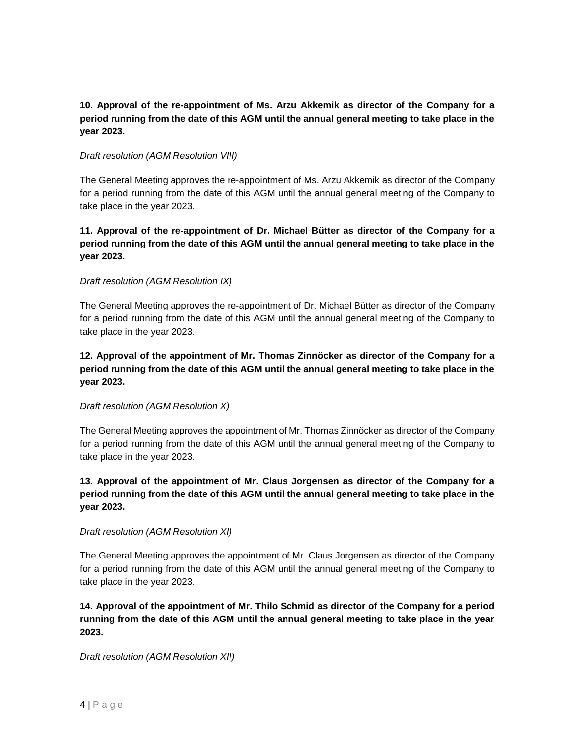# **10. Approval of the re-appointment of Ms. Arzu Akkemik as director of the Company for a period running from the date of this AGM until the annual general meeting to take place in the year 2023.**

## *Draft resolution (AGM Resolution VIII)*

The General Meeting approves the re-appointment of Ms. Arzu Akkemik as director of the Company for a period running from the date of this AGM until the annual general meeting of the Company to take place in the year 2023.

# **11. Approval of the re-appointment of Dr. Michael Bütter as director of the Company for a period running from the date of this AGM until the annual general meeting to take place in the year 2023.**

## *Draft resolution (AGM Resolution IX)*

The General Meeting approves the re-appointment of Dr. Michael Bütter as director of the Company for a period running from the date of this AGM until the annual general meeting of the Company to take place in the year 2023.

# **12. Approval of the appointment of Mr. Thomas Zinnöcker as director of the Company for a period running from the date of this AGM until the annual general meeting to take place in the year 2023.**

## *Draft resolution (AGM Resolution X)*

The General Meeting approves the appointment of Mr. Thomas Zinnöcker as director of the Company for a period running from the date of this AGM until the annual general meeting of the Company to take place in the year 2023.

# **13. Approval of the appointment of Mr. Claus Jorgensen as director of the Company for a period running from the date of this AGM until the annual general meeting to take place in the year 2023.**

## *Draft resolution (AGM Resolution XI)*

The General Meeting approves the appointment of Mr. Claus Jorgensen as director of the Company for a period running from the date of this AGM until the annual general meeting of the Company to take place in the year 2023.

**14. Approval of the appointment of Mr. Thilo Schmid as director of the Company for a period running from the date of this AGM until the annual general meeting to take place in the year 2023.**

*Draft resolution (AGM Resolution XII)*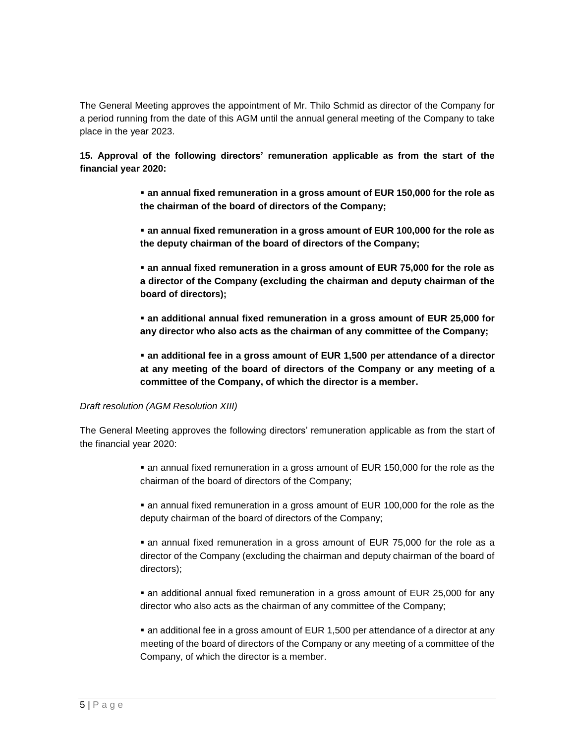The General Meeting approves the appointment of Mr. Thilo Schmid as director of the Company for a period running from the date of this AGM until the annual general meeting of the Company to take place in the year 2023.

**15. Approval of the following directors' remuneration applicable as from the start of the financial year 2020:**

> **an annual fixed remuneration in a gross amount of EUR 150,000 for the role as the chairman of the board of directors of the Company;**

> **an annual fixed remuneration in a gross amount of EUR 100,000 for the role as the deputy chairman of the board of directors of the Company;**

> **an annual fixed remuneration in a gross amount of EUR 75,000 for the role as a director of the Company (excluding the chairman and deputy chairman of the board of directors);**

> **an additional annual fixed remuneration in a gross amount of EUR 25,000 for any director who also acts as the chairman of any committee of the Company;**

> **an additional fee in a gross amount of EUR 1,500 per attendance of a director at any meeting of the board of directors of the Company or any meeting of a committee of the Company, of which the director is a member.**

## *Draft resolution (AGM Resolution XIII)*

The General Meeting approves the following directors' remuneration applicable as from the start of the financial year 2020:

> an annual fixed remuneration in a gross amount of EUR 150,000 for the role as the chairman of the board of directors of the Company;

> an annual fixed remuneration in a gross amount of EUR 100,000 for the role as the deputy chairman of the board of directors of the Company;

> an annual fixed remuneration in a gross amount of EUR 75,000 for the role as a director of the Company (excluding the chairman and deputy chairman of the board of directors);

> an additional annual fixed remuneration in a gross amount of EUR 25,000 for any director who also acts as the chairman of any committee of the Company;

> an additional fee in a gross amount of EUR 1,500 per attendance of a director at any meeting of the board of directors of the Company or any meeting of a committee of the Company, of which the director is a member.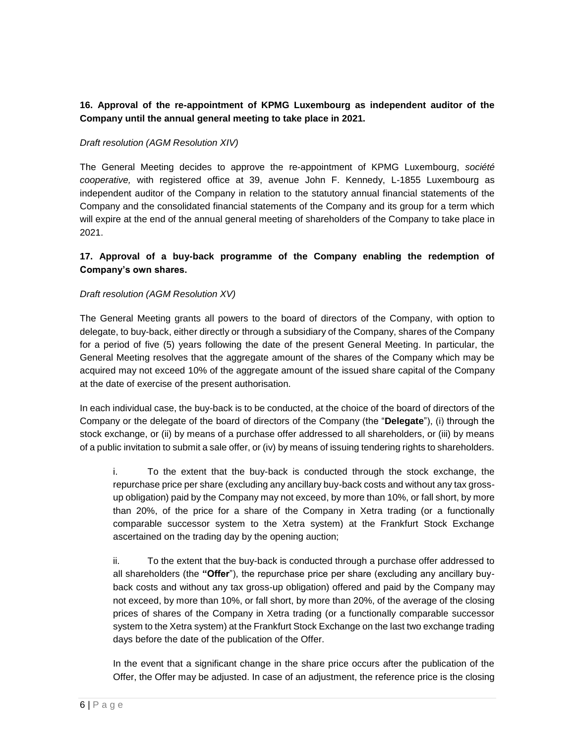# **16. Approval of the re-appointment of KPMG Luxembourg as independent auditor of the Company until the annual general meeting to take place in 2021.**

## *Draft resolution (AGM Resolution XIV)*

The General Meeting decides to approve the re-appointment of KPMG Luxembourg, *société cooperative,* with registered office at 39, avenue John F. Kennedy, L-1855 Luxembourg as independent auditor of the Company in relation to the statutory annual financial statements of the Company and the consolidated financial statements of the Company and its group for a term which will expire at the end of the annual general meeting of shareholders of the Company to take place in 2021.

## **17. Approval of a buy-back programme of the Company enabling the redemption of Company's own shares.**

## *Draft resolution (AGM Resolution XV)*

The General Meeting grants all powers to the board of directors of the Company, with option to delegate, to buy-back, either directly or through a subsidiary of the Company, shares of the Company for a period of five (5) years following the date of the present General Meeting. In particular, the General Meeting resolves that the aggregate amount of the shares of the Company which may be acquired may not exceed 10% of the aggregate amount of the issued share capital of the Company at the date of exercise of the present authorisation.

In each individual case, the buy-back is to be conducted, at the choice of the board of directors of the Company or the delegate of the board of directors of the Company (the "**Delegate**"), (i) through the stock exchange, or (ii) by means of a purchase offer addressed to all shareholders, or (iii) by means of a public invitation to submit a sale offer, or (iv) by means of issuing tendering rights to shareholders.

i. To the extent that the buy-back is conducted through the stock exchange, the repurchase price per share (excluding any ancillary buy-back costs and without any tax grossup obligation) paid by the Company may not exceed, by more than 10%, or fall short, by more than 20%, of the price for a share of the Company in Xetra trading (or a functionally comparable successor system to the Xetra system) at the Frankfurt Stock Exchange ascertained on the trading day by the opening auction;

ii. To the extent that the buy-back is conducted through a purchase offer addressed to all shareholders (the **"Offer**"), the repurchase price per share (excluding any ancillary buyback costs and without any tax gross-up obligation) offered and paid by the Company may not exceed, by more than 10%, or fall short, by more than 20%, of the average of the closing prices of shares of the Company in Xetra trading (or a functionally comparable successor system to the Xetra system) at the Frankfurt Stock Exchange on the last two exchange trading days before the date of the publication of the Offer.

In the event that a significant change in the share price occurs after the publication of the Offer, the Offer may be adjusted. In case of an adjustment, the reference price is the closing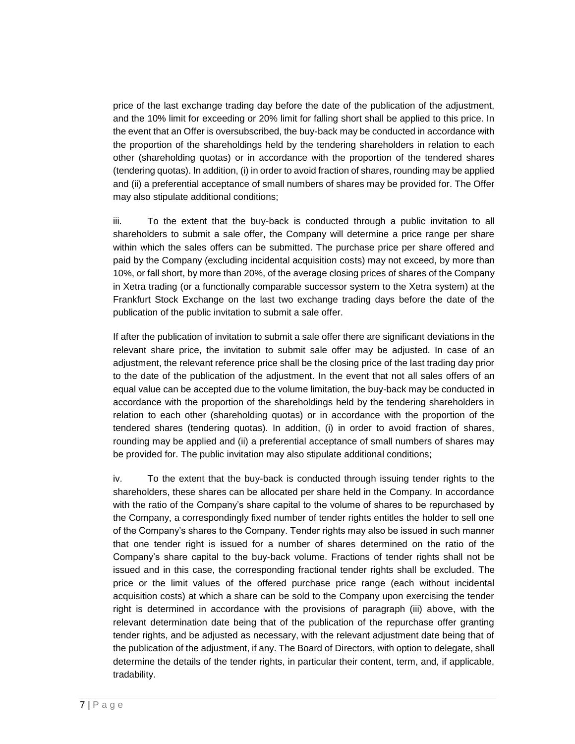price of the last exchange trading day before the date of the publication of the adjustment, and the 10% limit for exceeding or 20% limit for falling short shall be applied to this price. In the event that an Offer is oversubscribed, the buy-back may be conducted in accordance with the proportion of the shareholdings held by the tendering shareholders in relation to each other (shareholding quotas) or in accordance with the proportion of the tendered shares (tendering quotas). In addition, (i) in order to avoid fraction of shares, rounding may be applied and (ii) a preferential acceptance of small numbers of shares may be provided for. The Offer may also stipulate additional conditions;

iii. To the extent that the buy-back is conducted through a public invitation to all shareholders to submit a sale offer, the Company will determine a price range per share within which the sales offers can be submitted. The purchase price per share offered and paid by the Company (excluding incidental acquisition costs) may not exceed, by more than 10%, or fall short, by more than 20%, of the average closing prices of shares of the Company in Xetra trading (or a functionally comparable successor system to the Xetra system) at the Frankfurt Stock Exchange on the last two exchange trading days before the date of the publication of the public invitation to submit a sale offer.

If after the publication of invitation to submit a sale offer there are significant deviations in the relevant share price, the invitation to submit sale offer may be adjusted. In case of an adjustment, the relevant reference price shall be the closing price of the last trading day prior to the date of the publication of the adjustment. In the event that not all sales offers of an equal value can be accepted due to the volume limitation, the buy-back may be conducted in accordance with the proportion of the shareholdings held by the tendering shareholders in relation to each other (shareholding quotas) or in accordance with the proportion of the tendered shares (tendering quotas). In addition, (i) in order to avoid fraction of shares, rounding may be applied and (ii) a preferential acceptance of small numbers of shares may be provided for. The public invitation may also stipulate additional conditions;

iv. To the extent that the buy-back is conducted through issuing tender rights to the shareholders, these shares can be allocated per share held in the Company. In accordance with the ratio of the Company's share capital to the volume of shares to be repurchased by the Company, a correspondingly fixed number of tender rights entitles the holder to sell one of the Company's shares to the Company. Tender rights may also be issued in such manner that one tender right is issued for a number of shares determined on the ratio of the Company's share capital to the buy-back volume. Fractions of tender rights shall not be issued and in this case, the corresponding fractional tender rights shall be excluded. The price or the limit values of the offered purchase price range (each without incidental acquisition costs) at which a share can be sold to the Company upon exercising the tender right is determined in accordance with the provisions of paragraph (iii) above, with the relevant determination date being that of the publication of the repurchase offer granting tender rights, and be adjusted as necessary, with the relevant adjustment date being that of the publication of the adjustment, if any. The Board of Directors, with option to delegate, shall determine the details of the tender rights, in particular their content, term, and, if applicable, tradability.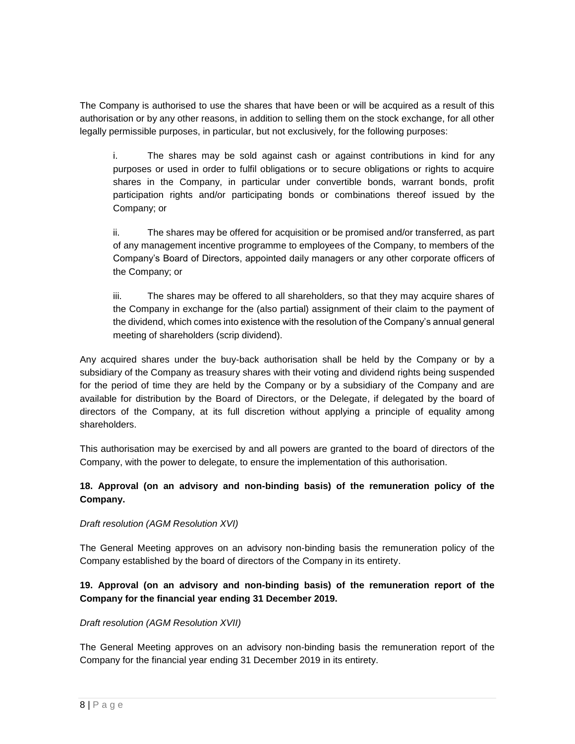The Company is authorised to use the shares that have been or will be acquired as a result of this authorisation or by any other reasons, in addition to selling them on the stock exchange, for all other legally permissible purposes, in particular, but not exclusively, for the following purposes:

i. The shares may be sold against cash or against contributions in kind for any purposes or used in order to fulfil obligations or to secure obligations or rights to acquire shares in the Company, in particular under convertible bonds, warrant bonds, profit participation rights and/or participating bonds or combinations thereof issued by the Company; or

ii. The shares may be offered for acquisition or be promised and/or transferred, as part of any management incentive programme to employees of the Company, to members of the Company's Board of Directors, appointed daily managers or any other corporate officers of the Company; or

iii. The shares may be offered to all shareholders, so that they may acquire shares of the Company in exchange for the (also partial) assignment of their claim to the payment of the dividend, which comes into existence with the resolution of the Company's annual general meeting of shareholders (scrip dividend).

Any acquired shares under the buy-back authorisation shall be held by the Company or by a subsidiary of the Company as treasury shares with their voting and dividend rights being suspended for the period of time they are held by the Company or by a subsidiary of the Company and are available for distribution by the Board of Directors, or the Delegate, if delegated by the board of directors of the Company, at its full discretion without applying a principle of equality among shareholders.

This authorisation may be exercised by and all powers are granted to the board of directors of the Company, with the power to delegate, to ensure the implementation of this authorisation.

## **18. Approval (on an advisory and non-binding basis) of the remuneration policy of the Company.**

## *Draft resolution (AGM Resolution XVI)*

The General Meeting approves on an advisory non-binding basis the remuneration policy of the Company established by the board of directors of the Company in its entirety.

# **19. Approval (on an advisory and non-binding basis) of the remuneration report of the Company for the financial year ending 31 December 2019.**

#### *Draft resolution (AGM Resolution XVII)*

The General Meeting approves on an advisory non-binding basis the remuneration report of the Company for the financial year ending 31 December 2019 in its entirety.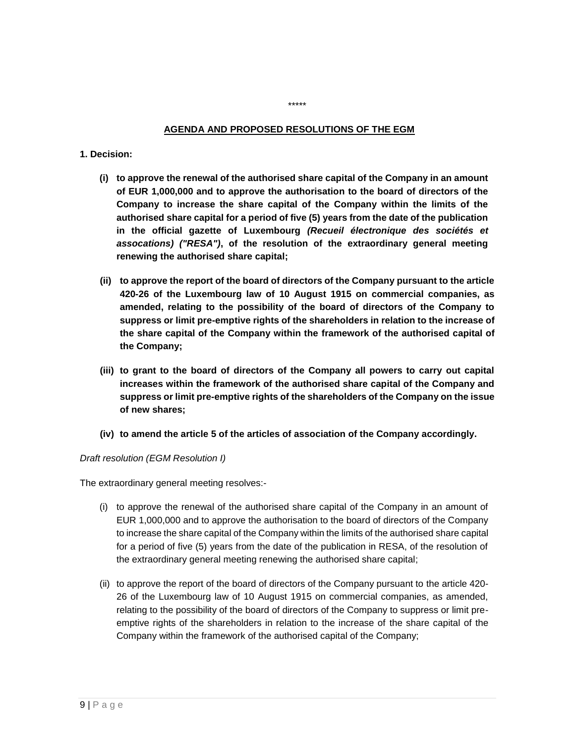#### **AGENDA AND PROPOSED RESOLUTIONS OF THE EGM**

\*\*\*\*\*

#### **1. Decision:**

- **(i) to approve the renewal of the authorised share capital of the Company in an amount of EUR 1,000,000 and to approve the authorisation to the board of directors of the Company to increase the share capital of the Company within the limits of the authorised share capital for a period of five (5) years from the date of the publication in the official gazette of Luxembourg** *(Recueil électronique des sociétés et assocations) ("RESA")***, of the resolution of the extraordinary general meeting renewing the authorised share capital;**
- **(ii) to approve the report of the board of directors of the Company pursuant to the article 420-26 of the Luxembourg law of 10 August 1915 on commercial companies, as amended, relating to the possibility of the board of directors of the Company to suppress or limit pre-emptive rights of the shareholders in relation to the increase of the share capital of the Company within the framework of the authorised capital of the Company;**
- **(iii) to grant to the board of directors of the Company all powers to carry out capital increases within the framework of the authorised share capital of the Company and suppress or limit pre-emptive rights of the shareholders of the Company on the issue of new shares;**
- **(iv) to amend the article 5 of the articles of association of the Company accordingly.**

*Draft resolution (EGM Resolution I)*

The extraordinary general meeting resolves:-

- (i) to approve the renewal of the authorised share capital of the Company in an amount of EUR 1,000,000 and to approve the authorisation to the board of directors of the Company to increase the share capital of the Company within the limits of the authorised share capital for a period of five (5) years from the date of the publication in RESA, of the resolution of the extraordinary general meeting renewing the authorised share capital;
- (ii) to approve the report of the board of directors of the Company pursuant to the article 420- 26 of the Luxembourg law of 10 August 1915 on commercial companies, as amended, relating to the possibility of the board of directors of the Company to suppress or limit preemptive rights of the shareholders in relation to the increase of the share capital of the Company within the framework of the authorised capital of the Company;

 $9 | P a q e$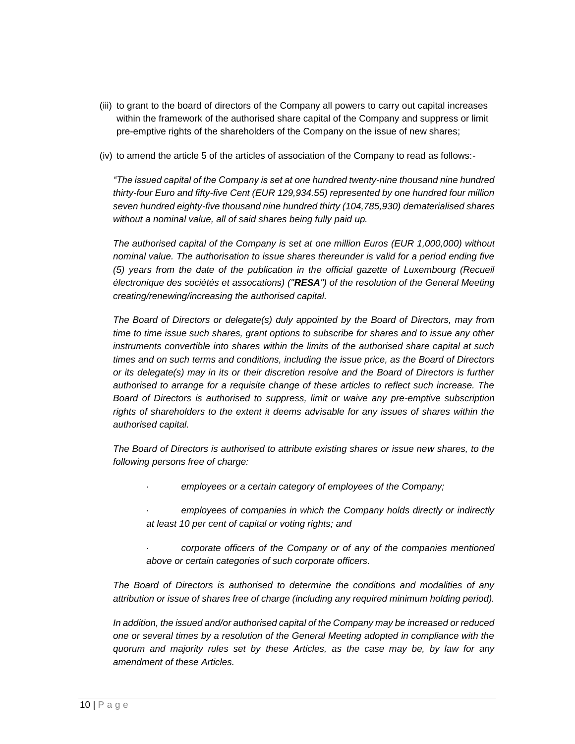- (iii) to grant to the board of directors of the Company all powers to carry out capital increases within the framework of the authorised share capital of the Company and suppress or limit pre-emptive rights of the shareholders of the Company on the issue of new shares;
- (iv) to amend the article 5 of the articles of association of the Company to read as follows:-

*"The issued capital of the Company is set at one hundred twenty-nine thousand nine hundred thirty-four Euro and fifty-five Cent (EUR 129,934.55) represented by one hundred four million seven hundred eighty-five thousand nine hundred thirty (104,785,930) dematerialised shares without a nominal value, all of said shares being fully paid up.*

*The authorised capital of the Company is set at one million Euros (EUR 1,000,000) without nominal value. The authorisation to issue shares thereunder is valid for a period ending five (5) years from the date of the publication in the official gazette of Luxembourg (Recueil électronique des sociétés et assocations) ("RESA") of the resolution of the General Meeting creating/renewing/increasing the authorised capital.*

*The Board of Directors or delegate(s) duly appointed by the Board of Directors, may from time to time issue such shares, grant options to subscribe for shares and to issue any other instruments convertible into shares within the limits of the authorised share capital at such times and on such terms and conditions, including the issue price, as the Board of Directors or its delegate(s) may in its or their discretion resolve and the Board of Directors is further authorised to arrange for a requisite change of these articles to reflect such increase. The Board of Directors is authorised to suppress, limit or waive any pre-emptive subscription rights of shareholders to the extent it deems advisable for any issues of shares within the authorised capital.*

*The Board of Directors is authorised to attribute existing shares or issue new shares, to the following persons free of charge:*

- · *employees or a certain category of employees of the Company;*
- employees of companies in which the Company holds directly or indirectly *at least 10 per cent of capital or voting rights; and*
- corporate officers of the Company or of any of the companies mentioned *above or certain categories of such corporate officers.*

*The Board of Directors is authorised to determine the conditions and modalities of any attribution or issue of shares free of charge (including any required minimum holding period).*

*In addition, the issued and/or authorised capital of the Company may be increased or reduced one or several times by a resolution of the General Meeting adopted in compliance with the quorum and majority rules set by these Articles, as the case may be, by law for any amendment of these Articles.*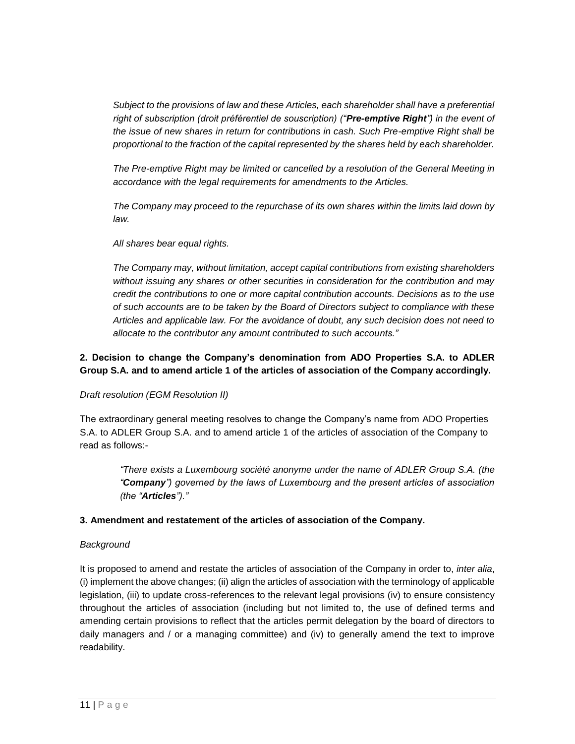*Subject to the provisions of law and these Articles, each shareholder shall have a preferential right of subscription (droit préférentiel de souscription) ("Pre-emptive Right") in the event of the issue of new shares in return for contributions in cash. Such Pre-emptive Right shall be proportional to the fraction of the capital represented by the shares held by each shareholder.*

*The Pre-emptive Right may be limited or cancelled by a resolution of the General Meeting in accordance with the legal requirements for amendments to the Articles.*

*The Company may proceed to the repurchase of its own shares within the limits laid down by law.*

*All shares bear equal rights.*

*The Company may, without limitation, accept capital contributions from existing shareholders without issuing any shares or other securities in consideration for the contribution and may credit the contributions to one or more capital contribution accounts. Decisions as to the use of such accounts are to be taken by the Board of Directors subject to compliance with these Articles and applicable law. For the avoidance of doubt, any such decision does not need to allocate to the contributor any amount contributed to such accounts."*

# **2. Decision to change the Company's denomination from ADO Properties S.A. to ADLER Group S.A. and to amend article 1 of the articles of association of the Company accordingly.**

## *Draft resolution (EGM Resolution II)*

The extraordinary general meeting resolves to change the Company's name from ADO Properties S.A. to ADLER Group S.A. and to amend article 1 of the articles of association of the Company to read as follows:-

*"There exists a Luxembourg société anonyme under the name of ADLER Group S.A. (the "Company") governed by the laws of Luxembourg and the present articles of association (the "Articles")."*

## **3. Amendment and restatement of the articles of association of the Company.**

## *Background*

It is proposed to amend and restate the articles of association of the Company in order to, *inter alia*, (i) implement the above changes; (ii) align the articles of association with the terminology of applicable legislation, (iii) to update cross-references to the relevant legal provisions (iv) to ensure consistency throughout the articles of association (including but not limited to, the use of defined terms and amending certain provisions to reflect that the articles permit delegation by the board of directors to daily managers and / or a managing committee) and (iv) to generally amend the text to improve readability.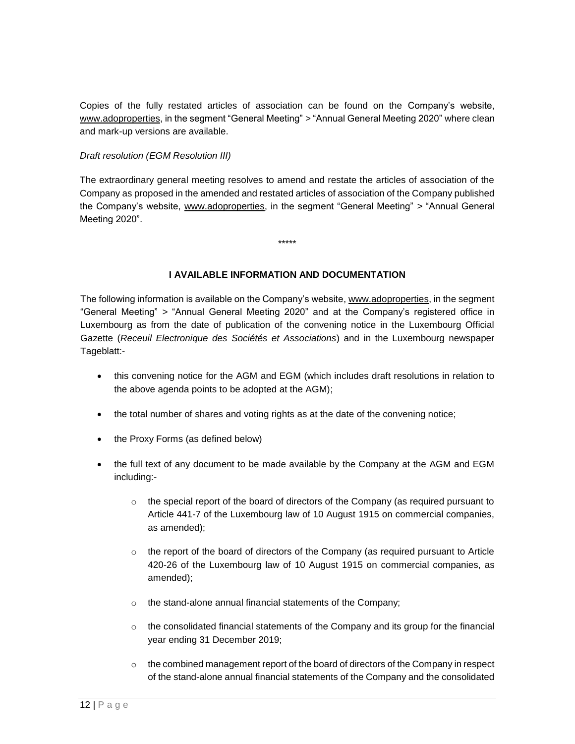Copies of the fully restated articles of association can be found on the Company's website, [www.adoproperties,](http://www.adoproperties/) in the segment "General Meeting" *>* "Annual General Meeting 2020" where clean and mark-up versions are available.

#### *Draft resolution (EGM Resolution III)*

The extraordinary general meeting resolves to amend and restate the articles of association of the Company as proposed in the amended and restated articles of association of the Company published the Company's website, [www.adoproperties,](http://www.adoproperties/) in the segment "General Meeting" *>* "Annual General Meeting 2020".

\*\*\*\*\*

## **I AVAILABLE INFORMATION AND DOCUMENTATION**

The following information is available on the Company's website, [www.adoproperties,](http://www.adoproperties/) in the segment "General Meeting" *>* "Annual General Meeting 2020" and at the Company's registered office in Luxembourg as from the date of publication of the convening notice in the Luxembourg Official Gazette (*Receuil Electronique des Sociétés et Associations*) and in the Luxembourg newspaper Tageblatt:-

- this convening notice for the AGM and EGM (which includes draft resolutions in relation to the above agenda points to be adopted at the AGM);
- the total number of shares and voting rights as at the date of the convening notice;
- the Proxy Forms (as defined below)
- the full text of any document to be made available by the Company at the AGM and EGM including:-
	- $\circ$  the special report of the board of directors of the Company (as required pursuant to Article 441-7 of the Luxembourg law of 10 August 1915 on commercial companies, as amended);
	- $\circ$  the report of the board of directors of the Company (as required pursuant to Article 420-26 of the Luxembourg law of 10 August 1915 on commercial companies, as amended);
	- o the stand-alone annual financial statements of the Company;
	- $\circ$  the consolidated financial statements of the Company and its group for the financial year ending 31 December 2019;
	- $\circ$  the combined management report of the board of directors of the Company in respect of the stand-alone annual financial statements of the Company and the consolidated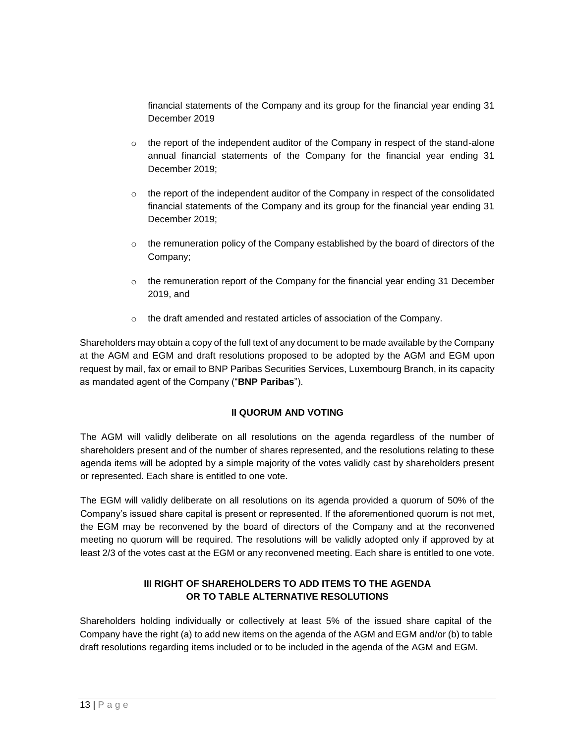financial statements of the Company and its group for the financial year ending 31 December 2019

- $\circ$  the report of the independent auditor of the Company in respect of the stand-alone annual financial statements of the Company for the financial year ending 31 December 2019;
- $\circ$  the report of the independent auditor of the Company in respect of the consolidated financial statements of the Company and its group for the financial year ending 31 December 2019;
- $\circ$  the remuneration policy of the Company established by the board of directors of the Company;
- $\circ$  the remuneration report of the Company for the financial year ending 31 December 2019, and
- o the draft amended and restated articles of association of the Company.

Shareholders may obtain a copy of the full text of any document to be made available by the Company at the AGM and EGM and draft resolutions proposed to be adopted by the AGM and EGM upon request by mail, fax or email to BNP Paribas Securities Services, Luxembourg Branch, in its capacity as mandated agent of the Company ("**BNP Paribas**").

## **II QUORUM AND VOTING**

The AGM will validly deliberate on all resolutions on the agenda regardless of the number of shareholders present and of the number of shares represented, and the resolutions relating to these agenda items will be adopted by a simple majority of the votes validly cast by shareholders present or represented. Each share is entitled to one vote.

The EGM will validly deliberate on all resolutions on its agenda provided a quorum of 50% of the Company's issued share capital is present or represented. If the aforementioned quorum is not met, the EGM may be reconvened by the board of directors of the Company and at the reconvened meeting no quorum will be required. The resolutions will be validly adopted only if approved by at least 2/3 of the votes cast at the EGM or any reconvened meeting. Each share is entitled to one vote.

# **III RIGHT OF SHAREHOLDERS TO ADD ITEMS TO THE AGENDA OR TO TABLE ALTERNATIVE RESOLUTIONS**

Shareholders holding individually or collectively at least 5% of the issued share capital of the Company have the right (a) to add new items on the agenda of the AGM and EGM and/or (b) to table draft resolutions regarding items included or to be included in the agenda of the AGM and EGM.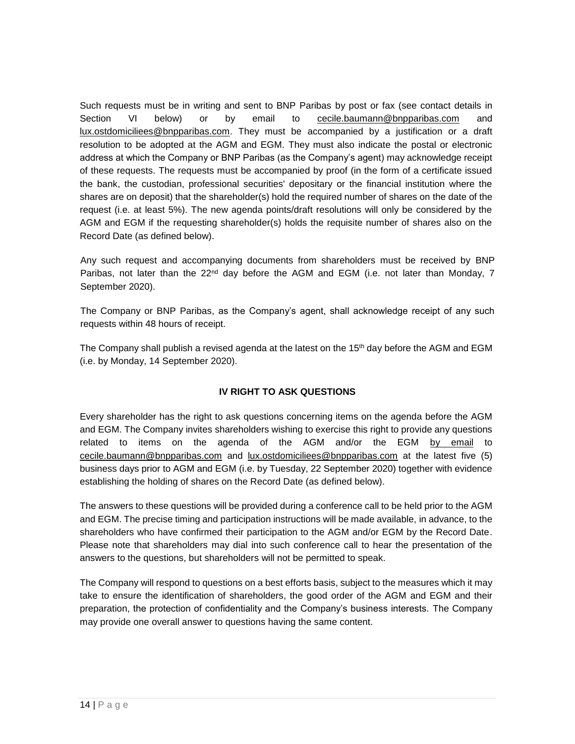Such requests must be in writing and sent to BNP Paribas by post or fax (see contact details in Section VI below) or by email to [cecile.baumann@bnpparibas.com](mailto:cecile.baumann@bnpparibas.com) and [lux.ostdomiciliees@bnpparibas.com.](mailto:lux.ostdomiciliees@bnpparibas.com) They must be accompanied by a justification or a draft resolution to be adopted at the AGM and EGM. They must also indicate the postal or electronic address at which the Company or BNP Paribas (as the Company's agent) may acknowledge receipt of these requests. The requests must be accompanied by proof (in the form of a certificate issued the bank, the custodian, professional securities' depositary or the financial institution where the shares are on deposit) that the shareholder(s) hold the required number of shares on the date of the request (i.e. at least 5%). The new agenda points/draft resolutions will only be considered by the AGM and EGM if the requesting shareholder(s) holds the requisite number of shares also on the Record Date (as defined below).

Any such request and accompanying documents from shareholders must be received by BNP Paribas, not later than the 22<sup>nd</sup> day before the AGM and EGM (i.e. not later than Monday, 7 September 2020).

The Company or BNP Paribas, as the Company's agent, shall acknowledge receipt of any such requests within 48 hours of receipt.

The Company shall publish a revised agenda at the latest on the 15<sup>th</sup> day before the AGM and EGM (i.e. by Monday, 14 September 2020).

# **IV RIGHT TO ASK QUESTIONS**

Every shareholder has the right to ask questions concerning items on the agenda before the AGM and EGM. The Company invites shareholders wishing to exercise this right to provide any questions related to items on the agenda of the AGM and/or the EGM by email to [cecile.baumann@bnpparibas.com](mailto:cecile.baumann@bnpparibas.com) and [lux.ostdomiciliees@bnpparibas.com](mailto:lux.ostdomiciliees@bnpparibas.com) at the latest five (5) business days prior to AGM and EGM (i.e. by Tuesday, 22 September 2020) together with evidence establishing the holding of shares on the Record Date (as defined below).

The answers to these questions will be provided during a conference call to be held prior to the AGM and EGM. The precise timing and participation instructions will be made available, in advance, to the shareholders who have confirmed their participation to the AGM and/or EGM by the Record Date. Please note that shareholders may dial into such conference call to hear the presentation of the answers to the questions, but shareholders will not be permitted to speak.

The Company will respond to questions on a best efforts basis, subject to the measures which it may take to ensure the identification of shareholders, the good order of the AGM and EGM and their preparation, the protection of confidentiality and the Company's business interests. The Company may provide one overall answer to questions having the same content.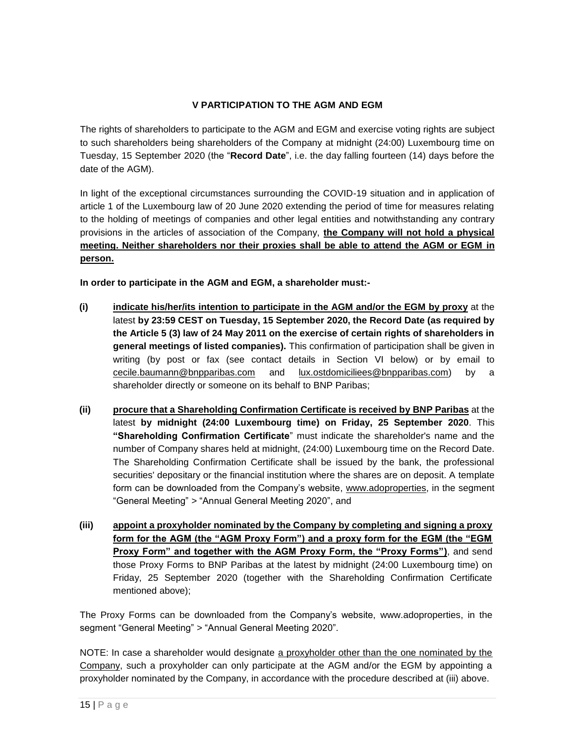# **V PARTICIPATION TO THE AGM AND EGM**

The rights of shareholders to participate to the AGM and EGM and exercise voting rights are subject to such shareholders being shareholders of the Company at midnight (24:00) Luxembourg time on Tuesday, 15 September 2020 (the "**Record Date**", i.e. the day falling fourteen (14) days before the date of the AGM).

In light of the exceptional circumstances surrounding the COVID-19 situation and in application of article 1 of the Luxembourg law of 20 June 2020 extending the period of time for measures relating to the holding of meetings of companies and other legal entities and notwithstanding any contrary provisions in the articles of association of the Company, **the Company will not hold a physical meeting. Neither shareholders nor their proxies shall be able to attend the AGM or EGM in person.**

**In order to participate in the AGM and EGM, a shareholder must:-**

- **(i) indicate his/her/its intention to participate in the AGM and/or the EGM by proxy** at the latest **by 23:59 CEST on Tuesday, 15 September 2020, the Record Date (as required by the Article 5 (3) law of 24 May 2011 on the exercise of certain rights of shareholders in general meetings of listed companies).** This confirmation of participation shall be given in writing (by post or fax (see contact details in Section VI below) or by email to [cecile.baumann@bnpparibas.com](mailto:cecile.baumann@bnpparibas.com) and [lux.ostdomiciliees@bnpparibas.com\)](mailto:lux.ostdomiciliees@bnpparibas.com) by a shareholder directly or someone on its behalf to BNP Paribas;
- **(ii) procure that a Shareholding Confirmation Certificate is received by BNP Paribas** at the latest **by midnight (24:00 Luxembourg time) on Friday, 25 September 2020**. This **"Shareholding Confirmation Certificate**" must indicate the shareholder's name and the number of Company shares held at midnight, (24:00) Luxembourg time on the Record Date. The Shareholding Confirmation Certificate shall be issued by the bank, the professional securities' depositary or the financial institution where the shares are on deposit. A template form can be downloaded from the Company's website, [www.adoproperties,](http://www.adoproperties/) in the segment "General Meeting" *>* "Annual General Meeting 2020", and
- **(iii) appoint a proxyholder nominated by the Company by completing and signing a proxy form for the AGM (the "AGM Proxy Form") and a proxy form for the EGM (the "EGM Proxy Form" and together with the AGM Proxy Form, the "Proxy Forms")**, and send those Proxy Forms to BNP Paribas at the latest by midnight (24:00 Luxembourg time) on Friday, 25 September 2020 (together with the Shareholding Confirmation Certificate mentioned above);

The Proxy Forms can be downloaded from the Company's website, www.adoproperties, in the segment "General Meeting" *>* "Annual General Meeting 2020".

NOTE: In case a shareholder would designate a proxyholder other than the one nominated by the Company, such a proxyholder can only participate at the AGM and/or the EGM by appointing a proxyholder nominated by the Company, in accordance with the procedure described at (iii) above.